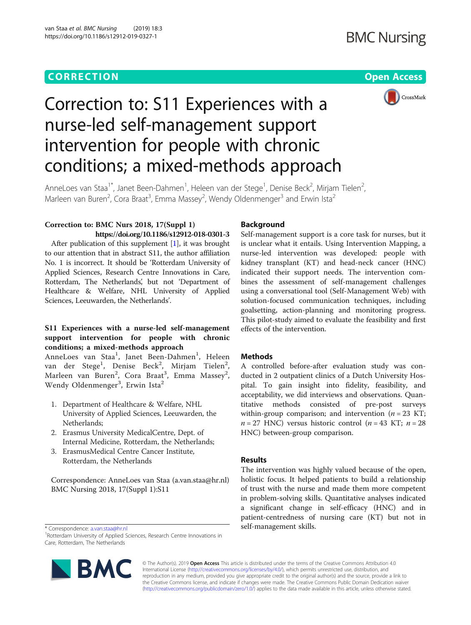## **CORRECTION CORRECTION**



# Correction to: S11 Experiences with a nurse-led self-management support intervention for people with chronic conditions; a mixed-methods approach

AnneLoes van Staa<sup>1\*</sup>, Janet Been-Dahmen<sup>1</sup>, Heleen van der Stege<sup>1</sup>, Denise Beck<sup>2</sup>, Mirjam Tielen<sup>2</sup> , Marleen van Buren<sup>2</sup>, Cora Braat<sup>3</sup>, Emma Massey<sup>2</sup>, Wendy Oldenmenger<sup>3</sup> and Erwin Ista<sup>2</sup>

### Correction to: BMC Nurs 2018, 17(Suppl 1) https://doi.org/10.1186/s12912-018-0301-3

After publication of this supplement [\[1](#page-1-0)], it was brought to our attention that in abstract S11, the author affiliation No. 1 is incorrect. It should be 'Rotterdam University of Applied Sciences, Research Centre Innovations in Care, Rotterdam, The Netherlands', but not 'Department of Healthcare & Welfare, NHL University of Applied Sciences, Leeuwarden, the Netherlands'.

### S11 Experiences with a nurse-led self-management support intervention for people with chronic conditions; a mixed-methods approach

AnneLoes van Staa<sup>1</sup>, Janet Been-Dahmen<sup>1</sup>, Heleen van der Stege<sup>1</sup>, Denise Beck<sup>2</sup>, Mirjam Tielen<sup>2</sup>, Marleen van Buren<sup>2</sup>, Cora Braat<sup>3</sup>, Emma Massey<sup>2</sup>, Wendy Oldenmenger $^3$ , Erwin Ista $^2$ 

- 1. Department of Healthcare & Welfare, NHL University of Applied Sciences, Leeuwarden, the Netherlands;
- 2. Erasmus University MedicalCentre, Dept. of Internal Medicine, Rotterdam, the Netherlands;
- 3. ErasmusMedical Centre Cancer Institute, Rotterdam, the Netherlands

Correspondence: AnneLoes van Staa (a.van.staa@hr.nl) BMC Nursing 2018, 17(Suppl 1):S11

#### Background

Self-management support is a core task for nurses, but it is unclear what it entails. Using Intervention Mapping, a nurse-led intervention was developed: people with kidney transplant (KT) and head-neck cancer (HNC) indicated their support needs. The intervention combines the assessment of self-management challenges using a conversational tool (Self-Management Web) with solution-focused communication techniques, including goalsetting, action-planning and monitoring progress. This pilot-study aimed to evaluate the feasibility and first effects of the intervention.

#### **Methods**

A controlled before-after evaluation study was conducted in 2 outpatient clinics of a Dutch University Hospital. To gain insight into fidelity, feasibility, and acceptability, we did interviews and observations. Quantitative methods consisted of pre-post surveys within-group comparison; and intervention  $(n = 23$  KT;  $n = 27$  HNC) versus historic control ( $n = 43$  KT;  $n = 28$ HNC) between-group comparison.

#### Results

The intervention was highly valued because of the open, holistic focus. It helped patients to build a relationship of trust with the nurse and made them more competent in problem-solving skills. Quantitative analyses indicated a significant change in self-efficacy (HNC) and in patient-centredness of nursing care (KT) but not in

self-management skills. \* Correspondence: [a.van.staa@hr.nl](mailto:a.van.staa@hr.nl) <sup>1</sup> Rotterdam University of Applied Sciences, Research Centre Innovations in Care, Rotterdam, The Netherlands



© The Author(s). 2019 **Open Access** This article is distributed under the terms of the Creative Commons Attribution 4.0 International License [\(http://creativecommons.org/licenses/by/4.0/](http://creativecommons.org/licenses/by/4.0/)), which permits unrestricted use, distribution, and reproduction in any medium, provided you give appropriate credit to the original author(s) and the source, provide a link to the Creative Commons license, and indicate if changes were made. The Creative Commons Public Domain Dedication waiver [\(http://creativecommons.org/publicdomain/zero/1.0/](http://creativecommons.org/publicdomain/zero/1.0/)) applies to the data made available in this article, unless otherwise stated.